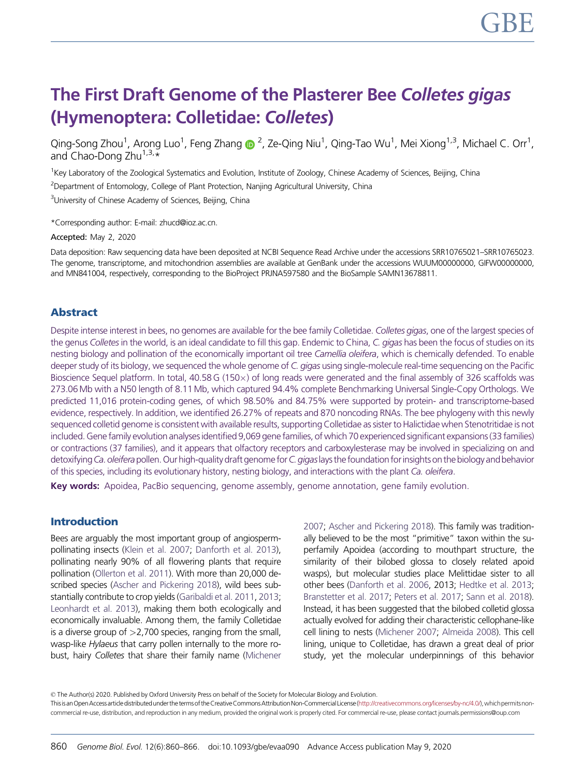# The First Draft Genome of the Plasterer Bee Colletes gigas (Hymenoptera: Colletidae: Colletes)

Qing-Song Zhou<sup>1</sup>, Arong Luo<sup>1</sup>, Feng Zhang @ <sup>2</sup>, Ze-Qing Niu<sup>1</sup>, Qing-Tao Wu<sup>1</sup>, Mei Xiong<sup>1,3</sup>, Michael C. Orr<sup>1</sup>, and Chao-Dong Zhu<sup>1,3,\*</sup>

<sup>1</sup>Key Laboratory of the Zoological Systematics and Evolution, Institute of Zoology, Chinese Academy of Sciences, Beijing, China

<sup>2</sup>Department of Entomology, College of Plant Protection, Nanjing Agricultural University, China

<sup>3</sup>University of Chinese Academy of Sciences, Beijing, China

\*Corresponding author: E-mail: zhucd@ioz.ac.cn.

Accepted: May 2, 2020

Data deposition: Raw sequencing data have been deposited at NCBI Sequence Read Archive under the accessions SRR10765021–SRR10765023. The genome, transcriptome, and mitochondrion assemblies are available at GenBank under the accessions WUUM00000000, GIFW00000000, and MN841004, respectively, corresponding to the BioProject PRJNA597580 and the BioSample SAMN13678811.

# Abstract

Despite intense interest in bees, no genomes are available for the bee family Colletidae. Colletes gigas, one of the largest species of the genus Colletes in the world, is an ideal candidate to fill this gap. Endemic to China, C. gigas has been the focus of studies on its nesting biology and pollination of the economically important oil tree Camellia oleifera, which is chemically defended. To enable deeper study of its biology, we sequenced the whole genome of C. gigas using single-molecule real-time sequencing on the Pacific Bioscience Sequel platform. In total, 40.58 G (150×) of long reads were generated and the final assembly of 326 scaffolds was 273.06 Mb with a N50 length of 8.11 Mb, which captured 94.4% complete Benchmarking Universal Single-Copy Orthologs. We predicted 11,016 protein-coding genes, of which 98.50% and 84.75% were supported by protein- and transcriptome-based evidence, respectively. In addition, we identified 26.27% of repeats and 870 noncoding RNAs. The bee phylogeny with this newly sequenced colletid genome is consistent with available results, supporting Colletidae as sister to Halictidae when Stenotritidae is not included. Gene family evolution analyses identified 9,069 gene families, of which 70 experienced significant expansions (33 families) or contractions (37 families), and it appears that olfactory receptors and carboxylesterase may be involved in specializing on and detoxifying Ca. oleifera pollen. Our high-quality draft genome for C. gigas lays the foundation for insights on the biology and behavior of this species, including its evolutionary history, nesting biology, and interactions with the plant Ca. oleifera.

Key words: Apoidea, PacBio sequencing, genome assembly, genome annotation, gene family evolution.

#### Introduction

Bees are arguably the most important group of angiospermpollinating insects [\(Klein et al. 2007;](#page-6-0) [Danforth et al. 2013](#page-5-0)), pollinating nearly 90% of all flowering plants that require pollination [\(Ollerton et al. 2011\)](#page-6-0). With more than 20,000 described species [\(Ascher and Pickering 2018\)](#page-5-0), wild bees substantially contribute to crop yields [\(Garibaldi et al. 2011](#page-5-0), [2013;](#page-5-0) [Leonhardt et al. 2013\)](#page-6-0), making them both ecologically and economically invaluable. Among them, the family Colletidae is a diverse group of  $>2,700$  species, ranging from the small, wasp-like Hylaeus that carry pollen internally to the more robust, hairy Colletes that share their family name [\(Michener](#page-6-0) [2007;](#page-6-0) [Ascher and Pickering 2018](#page-5-0)). This family was traditionally believed to be the most "primitive" taxon within the superfamily Apoidea (according to mouthpart structure, the similarity of their bilobed glossa to closely related apoid wasps), but molecular studies place Melittidae sister to all other bees [\(Danforth et al. 2006](#page-5-0), 2013; [Hedtke et al. 2013](#page-5-0); [Branstetter et al. 2017;](#page-5-0) [Peters et al. 2017](#page-6-0); [Sann et al. 2018\)](#page-6-0). Instead, it has been suggested that the bilobed colletid glossa actually evolved for adding their characteristic cellophane-like cell lining to nests [\(Michener 2007](#page-6-0); [Almeida 2008](#page-5-0)). This cell lining, unique to Colletidae, has drawn a great deal of prior study, yet the molecular underpinnings of this behavior

© The Author(s) 2020. Published by Oxford University Press on behalf of the Society for Molecular Biology and Evolution. Thisis an Open Accessarticle distributed under the terms of the Creative Commons Attribution Non-Commercial License [\(http://creativecommons.org/licenses/by-nc/4.0/\)](http://creativecommons.org/licenses/by-nc/4.0/), which permits noncommercial re-use, distribution, and reproduction in any medium, provided the original work is properly cited. For commercial re-use, please contact journals.permissions@oup.com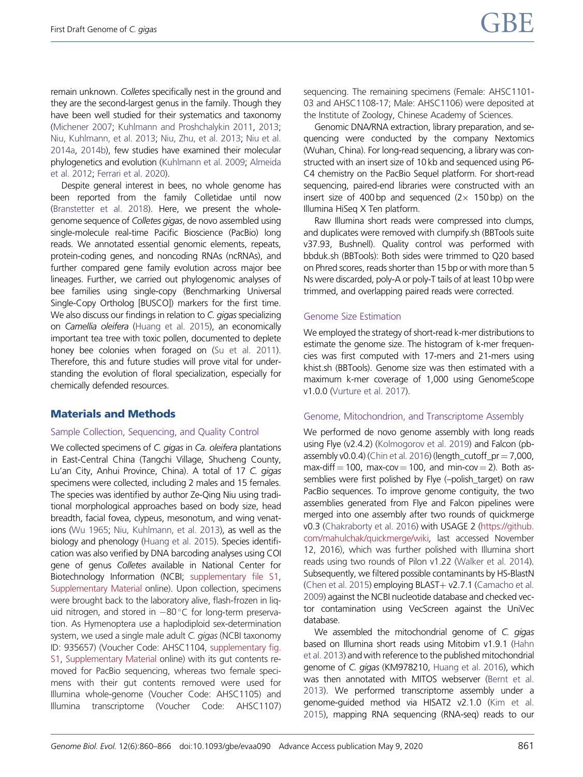remain unknown. Colletes specifically nest in the ground and they are the second-largest genus in the family. Though they have been well studied for their systematics and taxonomy [\(Michener 2007](#page-6-0); [Kuhlmann and Proshchalykin 2011](#page-6-0), [2013;](#page-6-0) [Niu, Kuhlmann, et al. 2013;](#page-6-0) [Niu, Zhu, et al. 2013;](#page-6-0) [Niu et al.](#page-6-0) [2014a,](#page-6-0) [2014b\)](#page-6-0), few studies have examined their molecular phylogenetics and evolution [\(Kuhlmann et al. 2009](#page-6-0); [Almeida](#page-5-0) [et al. 2012](#page-5-0); [Ferrari et al. 2020\)](#page-5-0).

Despite general interest in bees, no whole genome has been reported from the family Colletidae until now [\(Branstetter et al. 2018](#page-5-0)). Here, we present the wholegenome sequence of Colletes gigas, de novo assembled using single-molecule real-time Pacific Bioscience (PacBio) long reads. We annotated essential genomic elements, repeats, protein-coding genes, and noncoding RNAs (ncRNAs), and further compared gene family evolution across major bee lineages. Further, we carried out phylogenomic analyses of bee families using single-copy (Benchmarking Universal Single-Copy Ortholog [BUSCO]) markers for the first time. We also discuss our findings in relation to C. gigas specializing on Camellia oleifera [\(Huang et al. 2015](#page-6-0)), an economically important tea tree with toxic pollen, documented to deplete honey bee colonies when foraged on [\(Su et al. 2011](#page-6-0)). Therefore, this and future studies will prove vital for understanding the evolution of floral specialization, especially for chemically defended resources.

# Materials and Methods

#### Sample Collection, Sequencing, and Quality Control

We collected specimens of C. gigas in Ca. oleifera plantations in East-Central China (Tangchi Village, Shucheng County, Lu'an City, Anhui Province, China). A total of 17 C. gigas specimens were collected, including 2 males and 15 females. The species was identified by author Ze-Qing Niu using traditional morphological approaches based on body size, head breadth, facial fovea, clypeus, mesonotum, and wing venations [\(Wu 1965;](#page-6-0) [Niu, Kuhlmann, et al. 2013\)](#page-6-0), as well as the biology and phenology [\(Huang et al. 2015\)](#page-6-0). Species identification was also verified by DNA barcoding analyses using COI gene of genus Colletes available in National Center for Biotechnology Information (NCBI; [supplementary file S1,](https://academic.oup.com/gbe/article-lookup/doi/10.1093/gbe/evaa090#supplementary-data) [Supplementary Material](https://academic.oup.com/gbe/article-lookup/doi/10.1093/gbe/evaa090#supplementary-data) online). Upon collection, specimens were brought back to the laboratory alive, flash-frozen in liquid nitrogen, and stored in  $-80^{\circ}$ C for long-term preservation. As Hymenoptera use a haplodiploid sex-determination system, we used a single male adult C. gigas (NCBI taxonomy ID: 935657) (Voucher Code: AHSC1104, [supplementary fig.](https://academic.oup.com/gbe/article-lookup/doi/10.1093/gbe/evaa090#supplementary-data) [S1](https://academic.oup.com/gbe/article-lookup/doi/10.1093/gbe/evaa090#supplementary-data), [Supplementary Material](https://academic.oup.com/gbe/article-lookup/doi/10.1093/gbe/evaa090#supplementary-data) online) with its gut contents removed for PacBio sequencing, whereas two female specimens with their gut contents removed were used for Illumina whole-genome (Voucher Code: AHSC1105) and Illumina transcriptome (Voucher Code: AHSC1107) sequencing. The remaining specimens (Female: AHSC1101- 03 and AHSC1108-17; Male: AHSC1106) were deposited at the Institute of Zoology, Chinese Academy of Sciences.

Genomic DNA/RNA extraction, library preparation, and sequencing were conducted by the company Nextomics (Wuhan, China). For long-read sequencing, a library was constructed with an insert size of 10 kb and sequenced using P6- C4 chemistry on the PacBio Sequel platform. For short-read sequencing, paired-end libraries were constructed with an insert size of 400 bp and sequenced  $(2 \times 150)$  on the Illumina HiSeq X Ten platform.

Raw Illumina short reads were compressed into clumps, and duplicates were removed with clumpify.sh (BBTools suite v37.93, Bushnell). Quality control was performed with bbduk.sh (BBTools): Both sides were trimmed to Q20 based on Phred scores, reads shorter than 15 bp or with more than 5 Ns were discarded, poly-A or poly-T tails of at least 10 bp were trimmed, and overlapping paired reads were corrected.

#### Genome Size Estimation

We employed the strategy of short-read k-mer distributions to estimate the genome size. The histogram of k-mer frequencies was first computed with 17-mers and 21-mers using khist.sh (BBTools). Genome size was then estimated with a maximum k-mer coverage of 1,000 using GenomeScope v1.0.0 [\(Vurture et al. 2017](#page-6-0)).

#### Genome, Mitochondrion, and Transcriptome Assembly

We performed de novo genome assembly with long reads using Flye (v2.4.2) [\(Kolmogorov et al. 2019](#page-6-0)) and Falcon (pb-assembly v0.0.4) [\(Chin et al. 2016](#page-5-0)) (length\_cutoff\_pr =  $7,000$ , max-diff  $= 100$ , max-cov  $= 100$ , and min-cov  $= 2$ ). Both assemblies were first polished by Flye (–polish\_target) on raw PacBio sequences. To improve genome contiguity, the two assemblies generated from Flye and Falcon pipelines were merged into one assembly after two rounds of quickmerge v0.3 [\(Chakraborty et al. 2016](#page-5-0)) with USAGE 2 [\(https://github.](https://github.com/mahulchak/quickmerge/wiki) [com/mahulchak/quickmerge/wiki](https://github.com/mahulchak/quickmerge/wiki), last accessed November 12, 2016), which was further polished with Illumina short reads using two rounds of Pilon v1.22 [\(Walker et al. 2014\)](#page-6-0). Subsequently, we filtered possible contaminants by HS-BlastN [\(Chen et al. 2015](#page-5-0)) employing BLAST +  $v2.7.1$  ([Camacho et al.](#page-5-0) [2009\)](#page-5-0) against the NCBI nucleotide database and checked vector contamination using VecScreen against the UniVec database.

We assembled the mitochondrial genome of C. gigas based on Illumina short reads using Mitobim v1.9.1 [\(Hahn](#page-5-0) [et al. 2013\)](#page-5-0) and with reference to the published mitochondrial genome of C. gigas (KM978210, [Huang et al. 2016](#page-6-0)), which was then annotated with MITOS webserver ([Bernt et al.](#page-5-0) [2013\)](#page-5-0). We performed transcriptome assembly under a genome-guided method via HISAT2 v2.1.0 [\(Kim et al.](#page-6-0) [2015\)](#page-6-0), mapping RNA sequencing (RNA-seq) reads to our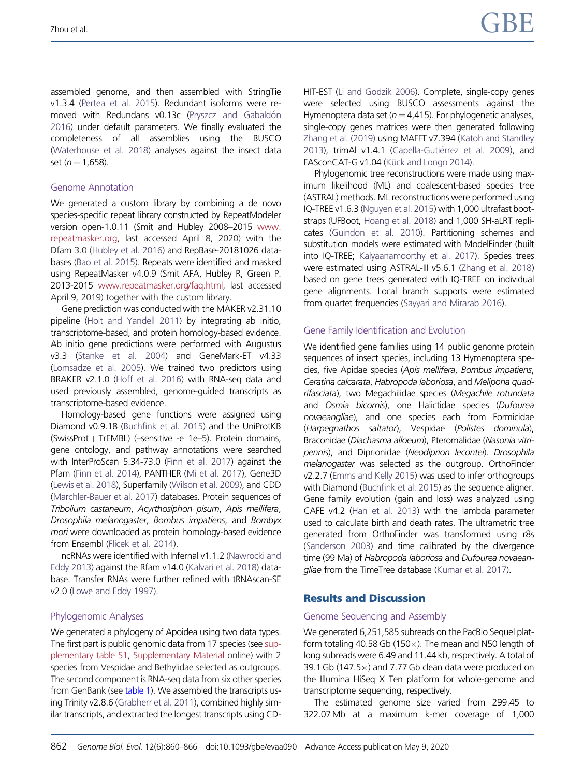assembled genome, and then assembled with StringTie v1.3.4 [\(Pertea et al. 2015](#page-6-0)). Redundant isoforms were removed with Redundans v0.13c (Pryszcz and Gabaldón [2016](#page-6-0)) under default parameters. We finally evaluated the completeness of all assemblies using the BUSCO [\(Waterhouse et al. 2018](#page-6-0)) analyses against the insect data set ( $n = 1,658$ ).

## Genome Annotation

We generated a custom library by combining a de novo species-specific repeat library constructed by RepeatModeler version open-1.0.11 (Smit and Hubley 2008–2015 [www.](http://www.repeatmasker.org) [repeatmasker.org,](http://www.repeatmasker.org) last accessed April 8, 2020) with the Dfam 3.0 [\(Hubley et al. 2016\)](#page-6-0) and RepBase-20181026 databases [\(Bao et al. 2015\)](#page-5-0). Repeats were identified and masked using RepeatMasker v4.0.9 (Smit AFA, Hubley R, Green P. 2013-2015 [www.repeatmasker.org/faq.html,](http://www.repeatmasker.org/faq.html) last accessed April 9, 2019) together with the custom library.

Gene prediction was conducted with the MAKER v2.31.10 pipeline [\(Holt and Yandell 2011](#page-5-0)) by integrating ab initio, transcriptome-based, and protein homology-based evidence. Ab initio gene predictions were performed with Augustus v3.3 ([Stanke et al. 2004\)](#page-6-0) and GeneMark-ET v4.33 [\(Lomsadze et al. 2005\)](#page-6-0). We trained two predictors using BRAKER v2.1.0 ([Hoff et al. 2016](#page-5-0)) with RNA-seq data and used previously assembled, genome-guided transcripts as transcriptome-based evidence.

Homology-based gene functions were assigned using Diamond v0.9.18 [\(Buchfink et al. 2015](#page-5-0)) and the UniProtKB (SwissProt + TrEMBL) (–sensitive -e 1e–5). Protein domains, gene ontology, and pathway annotations were searched with InterProScan 5.34-73.0 ([Finn et al. 2017](#page-5-0)) against the Pfam [\(Finn et al. 2014\)](#page-5-0), PANTHER ([Mi et al. 2017](#page-6-0)), Gene3D [\(Lewis et al. 2018\)](#page-6-0), Superfamily ([Wilson et al. 2009\)](#page-6-0), and CDD [\(Marchler-Bauer et al. 2017](#page-6-0)) databases. Protein sequences of Tribolium castaneum, Acyrthosiphon pisum, Apis mellifera, Drosophila melanogaster, Bombus impatiens, and Bombyx mori were downloaded as protein homology-based evidence from Ensembl [\(Flicek et al. 2014](#page-5-0)).

ncRNAs were identified with Infernal v1.1.2 [\(Nawrocki and](#page-6-0) [Eddy 2013](#page-6-0)) against the Rfam v14.0 ([Kalvari et al. 2018](#page-6-0)) database. Transfer RNAs were further refined with tRNAscan-SE v2.0 ([Lowe and Eddy 1997\)](#page-6-0).

## Phylogenomic Analyses

We generated a phylogeny of Apoidea using two data types. The first part is public genomic data from 17 species (see [sup](https://academic.oup.com/gbe/article-lookup/doi/10.1093/gbe/evaa090#supplementary-data)[plementary table S1](https://academic.oup.com/gbe/article-lookup/doi/10.1093/gbe/evaa090#supplementary-data), [Supplementary Material](https://academic.oup.com/gbe/article-lookup/doi/10.1093/gbe/evaa090#supplementary-data) online) with 2 species from Vespidae and Bethylidae selected as outgroups. The second component is RNA-seq data from six other species from GenBank (see [table 1\)](#page-3-0). We assembled the transcripts using Trinity v2.8.6 [\(Grabherr et al. 2011](#page-5-0)), combined highly similar transcripts, and extracted the longest transcripts using CD- HIT-EST ([Li and Godzik 2006](#page-6-0)). Complete, single-copy genes were selected using BUSCO assessments against the Hymenoptera data set ( $n = 4,415$ ). For phylogenetic analyses, single-copy genes matrices were then generated following [Zhang et al. \(2019\)](#page-6-0) using MAFFT v7.394 [\(Katoh and Standley](#page-6-0) [2013\)](#page-6-0), trimAl v1.4.1 [\(Capella-Guti](#page-5-0)érrez et al. 2009), and FASconCAT-G v1.04 (Kück and Longo 2014).

Phylogenomic tree reconstructions were made using maximum likelihood (ML) and coalescent-based species tree (ASTRAL) methods. ML reconstructions were performed using IQ-TREE v1.6.3 [\(Nguyen et al. 2015](#page-6-0)) with 1,000 ultrafast bootstraps (UFBoot, [Hoang et al. 2018](#page-5-0)) and 1,000 SH-aLRT replicates [\(Guindon et al. 2010](#page-5-0)). Partitioning schemes and substitution models were estimated with ModelFinder (built into IQ-TREE; [Kalyaanamoorthy et al. 2017](#page-6-0)). Species trees were estimated using ASTRAL-III v5.6.1 ([Zhang et al. 2018](#page-6-0)) based on gene trees generated with IQ-TREE on individual gene alignments. Local branch supports were estimated from quartet frequencies [\(Sayyari and Mirarab 2016\)](#page-6-0).

## Gene Family Identification and Evolution

We identified gene families using 14 public genome protein sequences of insect species, including 13 Hymenoptera species, five Apidae species (Apis mellifera, Bombus impatiens, Ceratina calcarata, Habropoda laboriosa, and Melipona quadrifasciata), two Megachilidae species (Megachile rotundata and Osmia bicornis), one Halictidae species (Dufourea novaeangliae), and one species each from Formicidae (Harpegnathos saltator), Vespidae (Polistes dominula), Braconidae (Diachasma alloeum), Pteromalidae (Nasonia vitripennis), and Diprionidae (Neodiprion lecontei). Drosophila melanogaster was selected as the outgroup. OrthoFinder v2.2.7 ([Emms and Kelly 2015\)](#page-5-0) was used to infer orthogroups with Diamond [\(Buchfink et al. 2015](#page-5-0)) as the sequence aligner. Gene family evolution (gain and loss) was analyzed using CAFE v4.2 ([Han et al. 2013](#page-5-0)) with the lambda parameter used to calculate birth and death rates. The ultrametric tree generated from OrthoFinder was transformed using r8s [\(Sanderson 2003\)](#page-6-0) and time calibrated by the divergence time (99 Ma) of Habropoda laboriosa and Dufourea novaean-gliae from the TimeTree database [\(Kumar et al. 2017\)](#page-6-0).

# Results and Discussion

# Genome Sequencing and Assembly

We generated 6,251,585 subreads on the PacBio Sequel platform totaling 40.58 Gb (150 $\times$ ). The mean and N50 length of long subreads were 6.49 and 11.44 kb, respectively. A total of 39.1 Gb (147.5 $\times$ ) and 7.77 Gb clean data were produced on the Illumina HiSeq X Ten platform for whole-genome and transcriptome sequencing, respectively.

The estimated genome size varied from 299.45 to 322.07 Mb at a maximum k-mer coverage of 1,000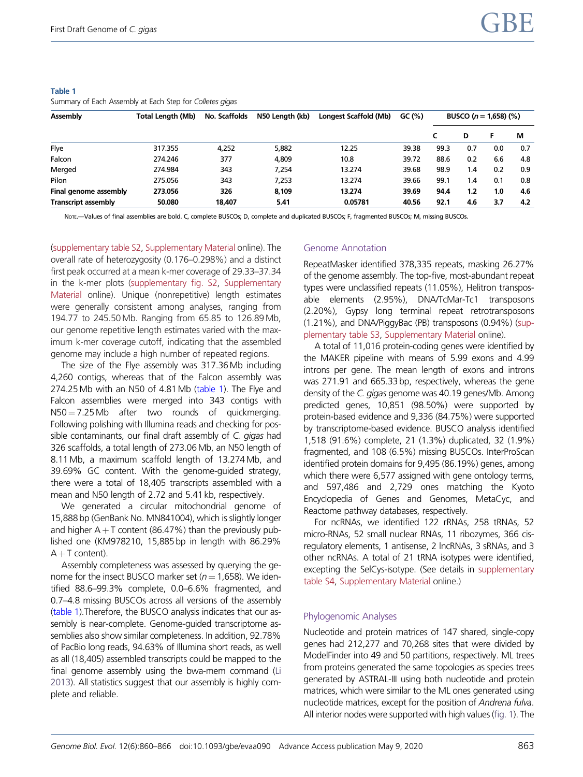| Assembly                   | Total Length (Mb) | No. Scaffolds | N50 Lenath (kb) | Longest Scaffold (Mb) | GC (%) | BUSCO ( $n = 1,658$ ) (%) |               |     |     |
|----------------------------|-------------------|---------------|-----------------|-----------------------|--------|---------------------------|---------------|-----|-----|
|                            |                   |               |                 |                       |        |                           | D             | F   | M   |
| Flye                       | 317.355           | 4,252         | 5,882           | 12.25                 | 39.38  | 99.3                      | 0.7           | 0.0 | 0.7 |
| Falcon                     | 274.246           | 377           | 4.809           | 10.8                  | 39.72  | 88.6                      | 0.2           | 6.6 | 4.8 |
| Merged                     | 274.984           | 343           | 7.254           | 13.274                | 39.68  | 98.9                      | 1.4           | 0.2 | 0.9 |
| Pilon                      | 275.056           | 343           | 7.253           | 13.274                | 39.66  | 99.1                      | $1.4^{\circ}$ | 0.1 | 0.8 |
| Final genome assembly      | 273.056           | 326           | 8.109           | 13.274                | 39.69  | 94.4                      | 1.2           | 1.0 | 4.6 |
| <b>Transcript assembly</b> | 50.080            | 18,407        | 5.41            | 0.05781               | 40.56  | 92.1                      | 4.6           | 3.7 | 4.2 |

# <span id="page-3-0"></span>Table 1

Summary of Each Assembly at Each Step for Colletes gigas

NorE.--Values of final assemblies are bold. C, complete BUSCOs; D, complete and duplicated BUSCOs; F, fragmented BUSCOs; M, missing BUSCOs.

[\(supplementary table S2](https://academic.oup.com/gbe/article-lookup/doi/10.1093/gbe/evaa090#supplementary-data), [Supplementary Material](https://academic.oup.com/gbe/article-lookup/doi/10.1093/gbe/evaa090#supplementary-data) online). The overall rate of heterozygosity (0.176–0.298%) and a distinct first peak occurred at a mean k-mer coverage of 29.33–37.34 in the k-mer plots ([supplementary fig. S2](https://academic.oup.com/gbe/article-lookup/doi/10.1093/gbe/evaa090#supplementary-data), [Supplementary](https://academic.oup.com/gbe/article-lookup/doi/10.1093/gbe/evaa090#supplementary-data) [Material](https://academic.oup.com/gbe/article-lookup/doi/10.1093/gbe/evaa090#supplementary-data) online). Unique (nonrepetitive) length estimates were generally consistent among analyses, ranging from 194.77 to 245.50 Mb. Ranging from 65.85 to 126.89 Mb, our genome repetitive length estimates varied with the maximum k-mer coverage cutoff, indicating that the assembled genome may include a high number of repeated regions.

The size of the Flye assembly was 317.36 Mb including 4,260 contigs, whereas that of the Falcon assembly was 274.25 Mb with an N50 of 4.81 Mb (table 1). The Flye and Falcon assemblies were merged into 343 contigs with  $N50 = 7.25$  Mb after two rounds of quickmerging. Following polishing with Illumina reads and checking for possible contaminants, our final draft assembly of C. gigas had 326 scaffolds, a total length of 273.06 Mb, an N50 length of 8.11 Mb, a maximum scaffold length of 13.274 Mb, and 39.69% GC content. With the genome-guided strategy, there were a total of 18,405 transcripts assembled with a mean and N50 length of 2.72 and 5.41 kb, respectively.

We generated a circular mitochondrial genome of 15,888 bp (GenBank No. MN841004), which is slightly longer and higher  $A + T$  content (86.47%) than the previously published one (KM978210, 15,885 bp in length with 86.29%  $A + T$  content).

Assembly completeness was assessed by querying the genome for the insect BUSCO marker set ( $n = 1,658$ ). We identified 88.6–99.3% complete, 0.0–6.6% fragmented, and 0.7–4.8 missing BUSCOs across all versions of the assembly (table 1).Therefore, the BUSCO analysis indicates that our assembly is near-complete. Genome-guided transcriptome assemblies also show similar completeness. In addition, 92.78% of PacBio long reads, 94.63% of Illumina short reads, as well as all (18,405) assembled transcripts could be mapped to the final genome assembly using the bwa-mem command [\(Li](#page-6-0) [2013](#page-6-0)). All statistics suggest that our assembly is highly complete and reliable.

# Genome Annotation

RepeatMasker identified 378,335 repeats, masking 26.27% of the genome assembly. The top-five, most-abundant repeat types were unclassified repeats (11.05%), Helitron transposable elements (2.95%), DNA/TcMar-Tc1 transposons (2.20%), Gypsy long terminal repeat retrotransposons (1.21%), and DNA/PiggyBac (PB) transposons (0.94%) [\(sup](https://academic.oup.com/gbe/article-lookup/doi/10.1093/gbe/evaa090#supplementary-data)[plementary table S3](https://academic.oup.com/gbe/article-lookup/doi/10.1093/gbe/evaa090#supplementary-data), [Supplementary Material](https://academic.oup.com/gbe/article-lookup/doi/10.1093/gbe/evaa090#supplementary-data) online).

A total of 11,016 protein-coding genes were identified by the MAKER pipeline with means of 5.99 exons and 4.99 introns per gene. The mean length of exons and introns was 271.91 and 665.33 bp, respectively, whereas the gene density of the C. gigas genome was 40.19 genes/Mb. Among predicted genes, 10,851 (98.50%) were supported by protein-based evidence and 9,336 (84.75%) were supported by transcriptome-based evidence. BUSCO analysis identified 1,518 (91.6%) complete, 21 (1.3%) duplicated, 32 (1.9%) fragmented, and 108 (6.5%) missing BUSCOs. InterProScan identified protein domains for 9,495 (86.19%) genes, among which there were 6,577 assigned with gene ontology terms, and 597,486 and 2,729 ones matching the Kyoto Encyclopedia of Genes and Genomes, MetaCyc, and Reactome pathway databases, respectively.

For ncRNAs, we identified 122 rRNAs, 258 tRNAs, 52 micro-RNAs, 52 small nuclear RNAs, 11 ribozymes, 366 cisregulatory elements, 1 antisense, 2 lncRNAs, 3 sRNAs, and 3 other ncRNAs. A total of 21 tRNA isotypes were identified, excepting the SelCys-isotype. (See details in [supplementary](https://academic.oup.com/gbe/article-lookup/doi/10.1093/gbe/evaa090#supplementary-data) [table S4,](https://academic.oup.com/gbe/article-lookup/doi/10.1093/gbe/evaa090#supplementary-data) [Supplementary Material](https://academic.oup.com/gbe/article-lookup/doi/10.1093/gbe/evaa090#supplementary-data) online.)

## Phylogenomic Analyses

Nucleotide and protein matrices of 147 shared, single-copy genes had 212,277 and 70,268 sites that were divided by ModelFinder into 49 and 50 partitions, respectively. ML trees from proteins generated the same topologies as species trees generated by ASTRAL-III using both nucleotide and protein matrices, which were similar to the ML ones generated using nucleotide matrices, except for the position of Andrena fulva. All interior nodes were supported with high values [\(fig. 1\)](#page-4-0). The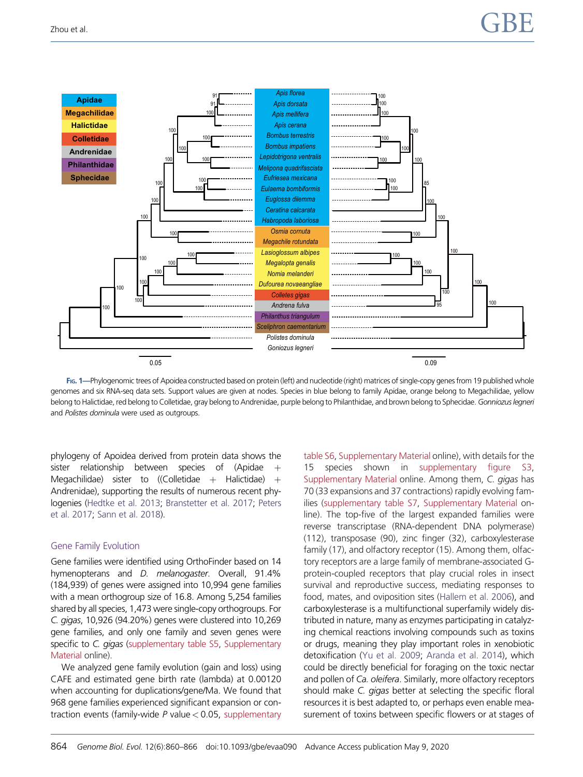<span id="page-4-0"></span>

FIG. 1—Phylogenomic trees of Apoidea constructed based on protein (left) and nucleotide (right) matrices of single-copy genes from 19 published whole genomes and six RNA-seq data sets. Support values are given at nodes. Species in blue belong to family Apidae, orange belong to Megachilidae, yellow belong to Halictidae, red belong to Colletidae, gray belong to Andrenidae, purple belong to Philanthidae, and brown belong to Sphecidae. Gonniozus legneri and Polistes dominula were used as outgroups.

phylogeny of Apoidea derived from protein data shows the sister relationship between species of (Apidae Megachilidae) sister to  $((Colletidae + Halictidae) +$ Andrenidae), supporting the results of numerous recent phylogenies [\(Hedtke et al. 2013;](#page-5-0) [Branstetter et al. 2017](#page-5-0); [Peters](#page-6-0) [et al. 2017](#page-6-0); [Sann et al. 2018\)](#page-6-0).

## Gene Family Evolution

Gene families were identified using OrthoFinder based on 14 hymenopterans and *D. melanogaster*. Overall, 91.4% (184,939) of genes were assigned into 10,994 gene families with a mean orthogroup size of 16.8. Among 5,254 families shared by all species, 1,473 were single-copy orthogroups. For C. gigas, 10,926 (94.20%) genes were clustered into 10,269 gene families, and only one family and seven genes were specific to C. gigas [\(supplementary table S5](https://academic.oup.com/gbe/article-lookup/doi/10.1093/gbe/evaa090#supplementary-data), [Supplementary](https://academic.oup.com/gbe/article-lookup/doi/10.1093/gbe/evaa090#supplementary-data) [Material](https://academic.oup.com/gbe/article-lookup/doi/10.1093/gbe/evaa090#supplementary-data) online).

We analyzed gene family evolution (gain and loss) using CAFE and estimated gene birth rate (lambda) at 0.00120 when accounting for duplications/gene/Ma. We found that 968 gene families experienced significant expansion or contraction events (family-wide  $P$  value  $<$  0.05, [supplementary](https://academic.oup.com/gbe/article-lookup/doi/10.1093/gbe/evaa090#supplementary-data) [table S6,](https://academic.oup.com/gbe/article-lookup/doi/10.1093/gbe/evaa090#supplementary-data) [Supplementary Material](https://academic.oup.com/gbe/article-lookup/doi/10.1093/gbe/evaa090#supplementary-data) online), with details for the 15 species shown in [supplementary figure S3](https://academic.oup.com/gbe/article-lookup/doi/10.1093/gbe/evaa090#supplementary-data), [Supplementary Material](https://academic.oup.com/gbe/article-lookup/doi/10.1093/gbe/evaa090#supplementary-data) online. Among them, C. gigas has 70 (33 expansions and 37 contractions) rapidly evolving families [\(supplementary table S7](https://academic.oup.com/gbe/article-lookup/doi/10.1093/gbe/evaa090#supplementary-data), [Supplementary Material](https://academic.oup.com/gbe/article-lookup/doi/10.1093/gbe/evaa090#supplementary-data) online). The top-five of the largest expanded families were reverse transcriptase (RNA-dependent DNA polymerase) (112), transposase (90), zinc finger (32), carboxylesterase family (17), and olfactory receptor (15). Among them, olfactory receptors are a large family of membrane-associated Gprotein-coupled receptors that play crucial roles in insect survival and reproductive success, mediating responses to food, mates, and oviposition sites [\(Hallem et al. 2006\)](#page-5-0), and carboxylesterase is a multifunctional superfamily widely distributed in nature, many as enzymes participating in catalyzing chemical reactions involving compounds such as toxins or drugs, meaning they play important roles in xenobiotic detoxification [\(Yu et al. 2009;](#page-6-0) [Aranda et al. 2014](#page-5-0)), which could be directly beneficial for foraging on the toxic nectar and pollen of Ca. oleifera. Similarly, more olfactory receptors should make C. gigas better at selecting the specific floral resources it is best adapted to, or perhaps even enable measurement of toxins between specific flowers or at stages of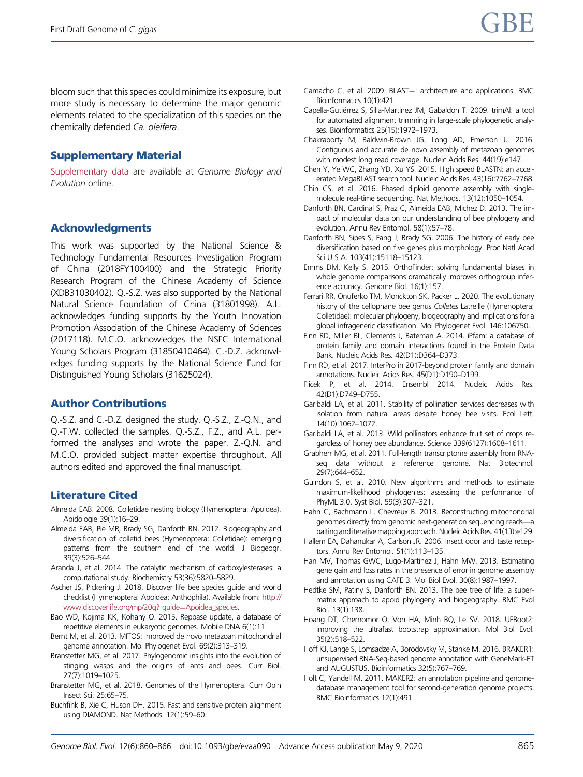<span id="page-5-0"></span>bloom such that this species could minimize its exposure, but more study is necessary to determine the major genomic elements related to the specialization of this species on the chemically defended Ca. oleifera.

## Supplementary Material

[Supplementary data](https://academic.oup.com/gbe/article-lookup/doi/10.1093/gbe/evaa090#supplementary-data) are available at Genome Biology and Evolution online.

#### Acknowledgments

This work was supported by the National Science & Technology Fundamental Resources Investigation Program of China (2018FY100400) and the Strategic Priority Research Program of the Chinese Academy of Science (XDB31030402). Q.-S.Z. was also supported by the National Natural Science Foundation of China (31801998). A.L. acknowledges funding supports by the Youth Innovation Promotion Association of the Chinese Academy of Sciences (2017118). M.C.O. acknowledges the NSFC International Young Scholars Program (31850410464). C.-D.Z. acknowledges funding supports by the National Science Fund for Distinguished Young Scholars (31625024).

## Author Contributions

Q.-S.Z. and C.-D.Z. designed the study. Q.-S.Z., Z.-Q.N., and Q.-T.W. collected the samples. Q.-S.Z., F.Z., and A.L. performed the analyses and wrote the paper. Z.-Q.N. and M.C.O. provided subject matter expertise throughout. All authors edited and approved the final manuscript.

## Literature Cited

- Almeida EAB. 2008. Colletidae nesting biology (Hymenoptera: Apoidea). Apidologie 39(1):16–29.
- Almeida EAB, Pie MR, Brady SG, Danforth BN. 2012. Biogeography and diversification of colletid bees (Hymenoptera: Colletidae): emerging patterns from the southern end of the world. J Biogeogr. 39(3):526–544.
- Aranda J, et al. 2014. The catalytic mechanism of carboxylesterases: a computational study. Biochemistry 53(36):5820–5829.
- Ascher JS, Pickering J. 2018. Discover life bee species guide and world checklist (Hymenoptera: Apoidea: Anthophila). Available from: [http://](http://www.discoverlife.org/mp/20q? guide=Apoidea_species) [www.discoverlife.org/mp/20q? guide](http://www.discoverlife.org/mp/20q? guide=Apoidea_species)=[Apoidea\\_species.](http://www.discoverlife.org/mp/20q? guide=Apoidea_species)
- Bao WD, Kojima KK, Kohany O. 2015. Repbase update, a database of repetitive elements in eukaryotic genomes. Mobile DNA 6(1):11.
- Bernt M, et al. 2013. MITOS: improved de novo metazoan mitochondrial genome annotation. Mol Phylogenet Evol. 69(2):313–319.
- Branstetter MG, et al. 2017. Phylogenomic insights into the evolution of stinging wasps and the origins of ants and bees. Curr Biol. 27(7):1019–1025.
- Branstetter MG, et al. 2018. Genomes of the Hymenoptera. Curr Opin Insect Sci. 25:65–75.
- Buchfink B, Xie C, Huson DH. 2015. Fast and sensitive protein alignment using DIAMOND. Nat Methods. 12(1):59–60.
- Camacho C, et al. 2009. BLAST+: architecture and applications. BMC Bioinformatics 10(1):421.
- Capella-Gutiérrez S, Silla-Martinez JM, Gabaldon T. 2009. trimAl: a tool for automated alignment trimming in large-scale phylogenetic analyses. Bioinformatics 25(15):1972–1973.
- Chakraborty M, Baldwin-Brown JG, Long AD, Emerson JJ. 2016. Contiguous and accurate de novo assembly of metazoan genomes with modest long read coverage. Nucleic Acids Res. 44(19):e147.
- Chen Y, Ye WC, Zhang YD, Xu YS. 2015. High speed BLASTN: an accelerated MegaBLAST search tool. Nucleic Acids Res. 43(16):7762–7768.
- Chin CS, et al. 2016. Phased diploid genome assembly with singlemolecule real-time sequencing. Nat Methods. 13(12):1050–1054.
- Danforth BN, Cardinal S, Praz C, Almeida EAB, Michez D. 2013. The impact of molecular data on our understanding of bee phylogeny and evolution. Annu Rev Entomol. 58(1):57–78.
- Danforth BN, Sipes S, Fang J, Brady SG. 2006. The history of early bee diversification based on five genes plus morphology. Proc Natl Acad Sci U S A. 103(41):15118–15123.
- Emms DM, Kelly S. 2015. OrthoFinder: solving fundamental biases in whole genome comparisons dramatically improves orthogroup inference accuracy. Genome Biol. 16(1):157.
- Ferrari RR, Onuferko TM, Monckton SK, Packer L. 2020. The evolutionary history of the cellophane bee genus Colletes Latreille (Hymenoptera: Colletidae): molecular phylogeny, biogeography and implications for a global infrageneric classification. Mol Phylogenet Evol. 146:106750.
- Finn RD, Miller BL, Clements J, Bateman A. 2014. iPfam: a database of protein family and domain interactions found in the Protein Data Bank. Nucleic Acids Res. 42(D1):D364–D373.
- Finn RD, et al. 2017. InterPro in 2017-beyond protein family and domain annotations. Nucleic Acids Res. 45(D1):D190–D199.
- Flicek P, et al. 2014. Ensembl 2014. Nucleic Acids Res. 42(D1):D749–D755.
- Garibaldi LA, et al. 2011. Stability of pollination services decreases with isolation from natural areas despite honey bee visits. Ecol Lett. 14(10):1062–1072.
- Garibaldi LA, et al. 2013. Wild pollinators enhance fruit set of crops regardless of honey bee abundance. Science 339(6127):1608–1611.
- Grabherr MG, et al. 2011. Full-length transcriptome assembly from RNAseq data without a reference genome. Nat Biotechnol. 29(7):644–652.
- Guindon S, et al. 2010. New algorithms and methods to estimate maximum-likelihood phylogenies: assessing the performance of PhyML 3.0. Syst Biol. 59(3):307–321.
- Hahn C, Bachmann L, Chevreux B. 2013. Reconstructing mitochondrial genomes directly from genomic next-generation sequencing reads—a baiting and iterative mapping approach. Nucleic Acids Res. 41(13):e129.
- Hallem EA, Dahanukar A, Carlson JR. 2006. Insect odor and taste receptors. Annu Rev Entomol. 51(1):113–135.
- Han MV, Thomas GWC, Lugo-Martinez J, Hahn MW. 2013. Estimating gene gain and loss rates in the presence of error in genome assembly and annotation using CAFE 3. Mol Biol Evol. 30(8):1987–1997.
- Hedtke SM, Patiny S, Danforth BN. 2013. The bee tree of life: a supermatrix approach to apoid phylogeny and biogeography. BMC Evol Biol. 13(1):138.
- Hoang DT, Chernomor O, Von HA, Minh BQ, Le SV. 2018. UFBoot2: improving the ultrafast bootstrap approximation. Mol Biol Evol. 35(2):518–522.
- Hoff KJ, Lange S, Lomsadze A, Borodovsky M, Stanke M. 2016. BRAKER1: unsupervised RNA-Seq-based genome annotation with GeneMark-ET and AUGUSTUS. Bioinformatics 32(5):767–769.
- Holt C, Yandell M. 2011. MAKER2: an annotation pipeline and genomedatabase management tool for second-generation genome projects. BMC Bioinformatics 12(1):491.